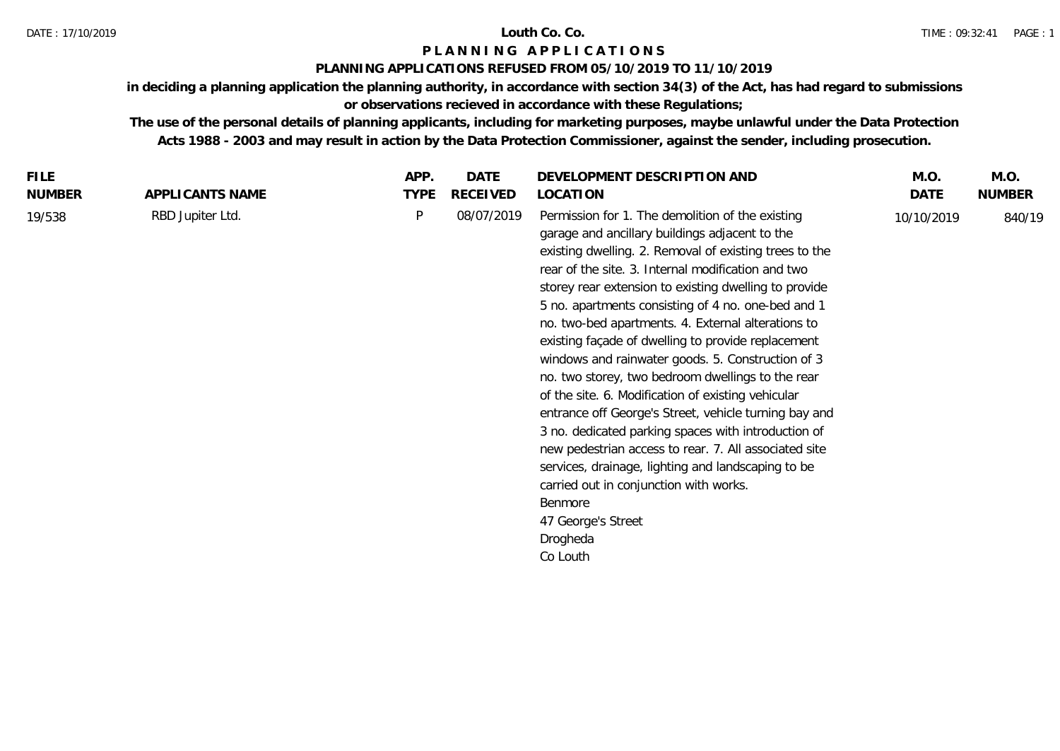# **P L A N N I N G A P P L I C A T I O N S**

# **PLANNING APPLICATIONS REFUSED FROM 05/10/2019 TO 11/10/2019**

**in deciding a planning application the planning authority, in accordance with section 34(3) of the Act, has had regard to submissions or observations recieved in accordance with these Regulations;**

**The use of the personal details of planning applicants, including for marketing purposes, maybe unlawful under the Data Protection Acts 1988 - 2003 and may result in action by the Data Protection Commissioner, against the sender, including prosecution.**

| <b>TYPE</b><br>RECEIVED<br>DATE<br><b>NUMBER</b><br><b>NUMBER</b><br>APPLICANTS NAME<br>LOCATION<br>08/07/2019<br>Permission for 1. The demolition of the existing<br>RBD Jupiter Ltd.<br>P<br>19/538<br>840/19<br>10/10/2019<br>garage and ancillary buildings adjacent to the<br>existing dwelling. 2. Removal of existing trees to the<br>rear of the site. 3. Internal modification and two<br>storey rear extension to existing dwelling to provide<br>5 no. apartments consisting of 4 no. one-bed and 1<br>no. two-bed apartments. 4. External alterations to<br>existing façade of dwelling to provide replacement<br>windows and rainwater goods. 5. Construction of 3<br>no. two storey, two bedroom dwellings to the rear<br>of the site. 6. Modification of existing vehicular<br>entrance off George's Street, vehicle turning bay and<br>3 no. dedicated parking spaces with introduction of<br>new pedestrian access to rear. 7. All associated site<br>services, drainage, lighting and landscaping to be<br>carried out in conjunction with works.<br>Benmore<br>47 George's Street<br>Drogheda<br>Co Louth | FILE. | APP. | DATE | DEVELOPMENT DESCRIPTION AND | M.O. | M.O. |
|------------------------------------------------------------------------------------------------------------------------------------------------------------------------------------------------------------------------------------------------------------------------------------------------------------------------------------------------------------------------------------------------------------------------------------------------------------------------------------------------------------------------------------------------------------------------------------------------------------------------------------------------------------------------------------------------------------------------------------------------------------------------------------------------------------------------------------------------------------------------------------------------------------------------------------------------------------------------------------------------------------------------------------------------------------------------------------------------------------------------------|-------|------|------|-----------------------------|------|------|
|                                                                                                                                                                                                                                                                                                                                                                                                                                                                                                                                                                                                                                                                                                                                                                                                                                                                                                                                                                                                                                                                                                                              |       |      |      |                             |      |      |
|                                                                                                                                                                                                                                                                                                                                                                                                                                                                                                                                                                                                                                                                                                                                                                                                                                                                                                                                                                                                                                                                                                                              |       |      |      |                             |      |      |